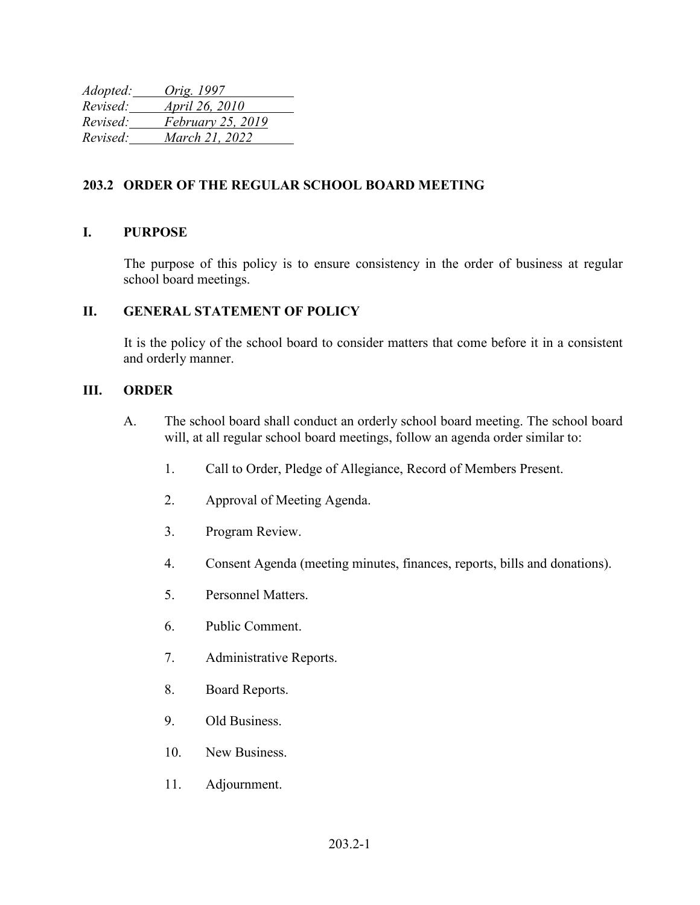| Adopted: | Orig. 1997            |
|----------|-----------------------|
| Revised: | <i>April 26, 2010</i> |
| Revised: | February 25, 2019     |
| Revised: | March 21, 2022        |

## **203.2 ORDER OF THE REGULAR SCHOOL BOARD MEETING**

## **I. PURPOSE**

The purpose of this policy is to ensure consistency in the order of business at regular school board meetings.

## **II. GENERAL STATEMENT OF POLICY**

It is the policy of the school board to consider matters that come before it in a consistent and orderly manner.

## **III. ORDER**

- A. The school board shall conduct an orderly school board meeting. The school board will, at all regular school board meetings, follow an agenda order similar to:
	- 1. Call to Order, Pledge of Allegiance, Record of Members Present.
	- 2. Approval of Meeting Agenda.
	- 3. Program Review.
	- 4. Consent Agenda (meeting minutes, finances, reports, bills and donations).
	- 5. Personnel Matters.
	- 6. Public Comment.
	- 7. Administrative Reports.
	- 8. Board Reports.
	- 9. Old Business.
	- 10. New Business.
	- 11. Adjournment.